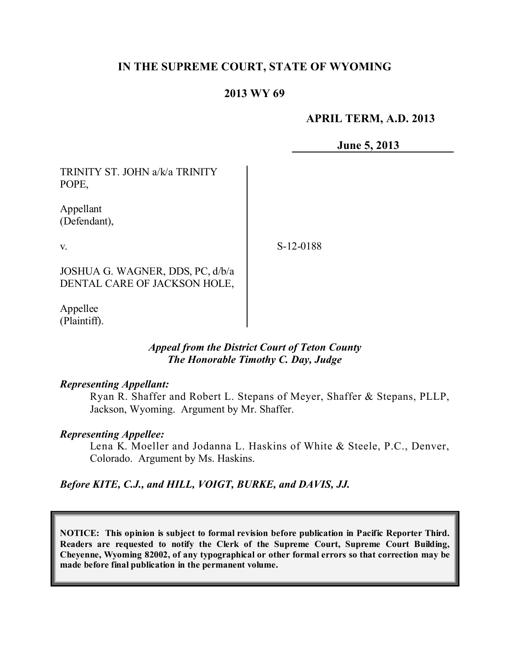# **IN THE SUPREME COURT, STATE OF WYOMING**

## **2013 WY 69**

## **APRIL TERM, A.D. 2013**

**June 5, 2013**

TRINITY ST. JOHN a/k/a TRINITY POPE,

Appellant (Defendant),

v.

S-12-0188

JOSHUA G. WAGNER, DDS, PC, d/b/a DENTAL CARE OF JACKSON HOLE,

Appellee (Plaintiff).

#### *Appeal from the District Court of Teton County The Honorable Timothy C. Day, Judge*

#### *Representing Appellant:*

Ryan R. Shaffer and Robert L. Stepans of Meyer, Shaffer & Stepans, PLLP, Jackson, Wyoming. Argument by Mr. Shaffer.

#### *Representing Appellee:*

Lena K. Moeller and Jodanna L. Haskins of White & Steele, P.C., Denver, Colorado. Argument by Ms. Haskins.

*Before KITE, C.J., and HILL, VOIGT, BURKE, and DAVIS, JJ.*

**NOTICE: This opinion is subject to formal revision before publication in Pacific Reporter Third. Readers are requested to notify the Clerk of the Supreme Court, Supreme Court Building, Cheyenne, Wyoming 82002, of any typographical or other formal errors so that correction may be made before final publication in the permanent volume.**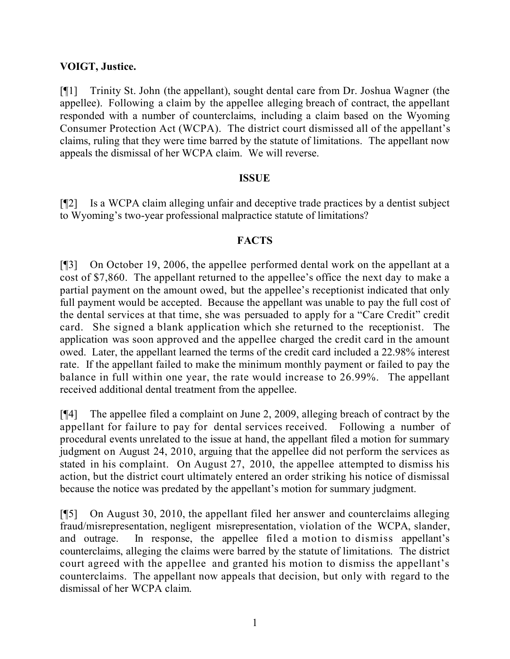## **VOIGT, Justice.**

[¶1] Trinity St. John (the appellant), sought dental care from Dr. Joshua Wagner (the appellee). Following a claim by the appellee alleging breach of contract, the appellant responded with a number of counterclaims, including a claim based on the Wyoming Consumer Protection Act (WCPA). The district court dismissed all of the appellant's claims, ruling that they were time barred by the statute of limitations. The appellant now appeals the dismissal of her WCPA claim. We will reverse.

## **ISSUE**

[¶2] Is a WCPA claim alleging unfair and deceptive trade practices by a dentist subject to Wyoming's two-year professional malpractice statute of limitations?

# **FACTS**

[¶3] On October 19, 2006, the appellee performed dental work on the appellant at a cost of \$7,860. The appellant returned to the appellee's office the next day to make a partial payment on the amount owed, but the appellee's receptionist indicated that only full payment would be accepted. Because the appellant was unable to pay the full cost of the dental services at that time, she was persuaded to apply for a "Care Credit" credit card. She signed a blank application which she returned to the receptionist. The application was soon approved and the appellee charged the credit card in the amount owed. Later, the appellant learned the terms of the credit card included a 22.98% interest rate. If the appellant failed to make the minimum monthly payment or failed to pay the balance in full within one year, the rate would increase to 26.99%. The appellant received additional dental treatment from the appellee.

[¶4] The appellee filed a complaint on June 2, 2009, alleging breach of contract by the appellant for failure to pay for dental services received. Following a number of procedural events unrelated to the issue at hand, the appellant filed a motion for summary judgment on August 24, 2010, arguing that the appellee did not perform the services as stated in his complaint. On August 27, 2010, the appellee attempted to dismiss his action, but the district court ultimately entered an order striking his notice of dismissal because the notice was predated by the appellant's motion for summary judgment.

[¶5] On August 30, 2010, the appellant filed her answer and counterclaims alleging fraud/misrepresentation, negligent misrepresentation, violation of the WCPA, slander, and outrage. In response, the appellee filed a motion to dismiss appellant's counterclaims, alleging the claims were barred by the statute of limitations. The district court agreed with the appellee and granted his motion to dismiss the appellant's counterclaims. The appellant now appeals that decision, but only with regard to the dismissal of her WCPA claim.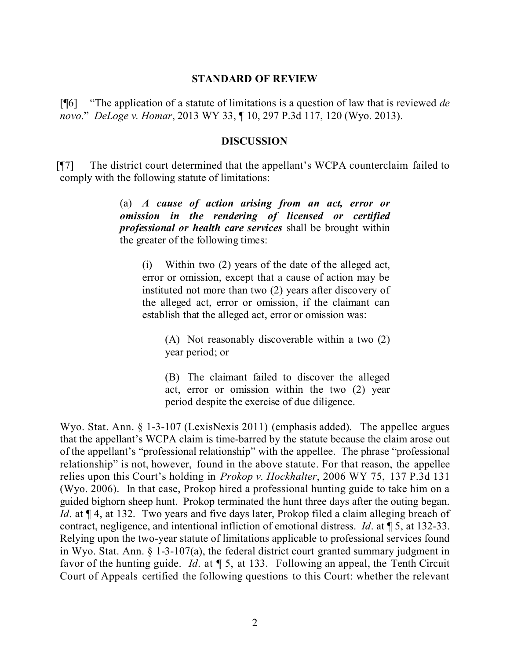#### **STANDARD OF REVIEW**

[¶6] "The application of a statute of limitations is a question of law that is reviewed *de novo*." *DeLoge v. Homar*, 2013 WY 33, ¶ 10, 297 P.3d 117, 120 (Wyo. 2013).

#### **DISCUSSION**

[¶7] The district court determined that the appellant's WCPA counterclaim failed to comply with the following statute of limitations:

> (a) *A cause of action arising from an act, error or omission in the rendering of licensed or certified professional or health care services* shall be brought within the greater of the following times:

(i) Within two (2) years of the date of the alleged act, error or omission, except that a cause of action may be instituted not more than two (2) years after discovery of the alleged act, error or omission, if the claimant can establish that the alleged act, error or omission was:

(A) Not reasonably discoverable within a two (2) year period; or

(B) The claimant failed to discover the alleged act, error or omission within the two (2) year period despite the exercise of due diligence.

Wyo. Stat. Ann. § 1-3-107 (LexisNexis 2011) (emphasis added). The appellee argues that the appellant's WCPA claim is time-barred by the statute because the claim arose out of the appellant's "professional relationship" with the appellee. The phrase "professional relationship" is not, however, found in the above statute. For that reason, the appellee relies upon this Court's holding in *Prokop v. Hockhalter*, 2006 WY 75, 137 P.3d 131 (Wyo. 2006). In that case, Prokop hired a professional hunting guide to take him on a guided bighorn sheep hunt. Prokop terminated the hunt three days after the outing began. *Id*. at  $\P$  4, at 132. Two years and five days later, Prokop filed a claim alleging breach of contract, negligence, and intentional infliction of emotional distress. *Id*. at ¶ 5, at 132-33. Relying upon the two-year statute of limitations applicable to professional services found in Wyo. Stat. Ann. § 1-3-107(a), the federal district court granted summary judgment in favor of the hunting guide. *Id*. at ¶ 5, at 133. Following an appeal, the Tenth Circuit Court of Appeals certified the following questions to this Court: whether the relevant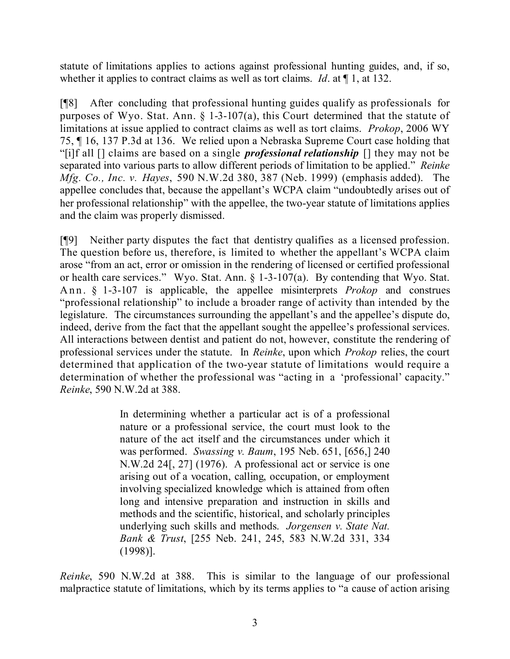statute of limitations applies to actions against professional hunting guides, and, if so, whether it applies to contract claims as well as tort claims. *Id*. at ¶ 1, at 132.

[¶8] After concluding that professional hunting guides qualify as professionals for purposes of Wyo. Stat. Ann. § 1-3-107(a), this Court determined that the statute of limitations at issue applied to contract claims as well as tort claims. *Prokop*, 2006 WY 75, ¶ 16, 137 P.3d at 136. We relied upon a Nebraska Supreme Court case holding that "[i]f all [] claims are based on a single *professional relationship* [] they may not be separated into various parts to allow different periods of limitation to be applied." *Reinke Mfg. Co., Inc. v. Hayes*, 590 N.W.2d 380, 387 (Neb. 1999) (emphasis added). The appellee concludes that, because the appellant's WCPA claim "undoubtedly arises out of her professional relationship" with the appellee, the two-year statute of limitations applies and the claim was properly dismissed.

[¶9] Neither party disputes the fact that dentistry qualifies as a licensed profession. The question before us, therefore, is limited to whether the appellant's WCPA claim arose "from an act, error or omission in the rendering of licensed or certified professional or health care services." Wyo. Stat. Ann. § 1-3-107(a). By contending that Wyo. Stat. Ann. § 1-3-107 is applicable, the appellee misinterprets *Prokop* and construes "professional relationship" to include a broader range of activity than intended by the legislature. The circumstances surrounding the appellant's and the appellee's dispute do, indeed, derive from the fact that the appellant sought the appellee's professional services. All interactions between dentist and patient do not, however, constitute the rendering of professional services under the statute. In *Reinke*, upon which *Prokop* relies, the court determined that application of the two-year statute of limitations would require a determination of whether the professional was "acting in a 'professional' capacity." *Reinke*, 590 N.W.2d at 388.

> In determining whether a particular act is of a professional nature or a professional service, the court must look to the nature of the act itself and the circumstances under which it was performed. *Swassing v. Baum*, 195 Neb. 651, [656,] 240 N.W.2d 24[, 27] (1976). A professional act or service is one arising out of a vocation, calling, occupation, or employment involving specialized knowledge which is attained from often long and intensive preparation and instruction in skills and methods and the scientific, historical, and scholarly principles underlying such skills and methods. *Jorgensen v. State Nat. Bank & Trust*, [255 Neb. 241, 245, 583 N.W.2d 331, 334 (1998)].

*Reinke*, 590 N.W.2d at 388. This is similar to the language of our professional malpractice statute of limitations, which by its terms applies to "a cause of action arising